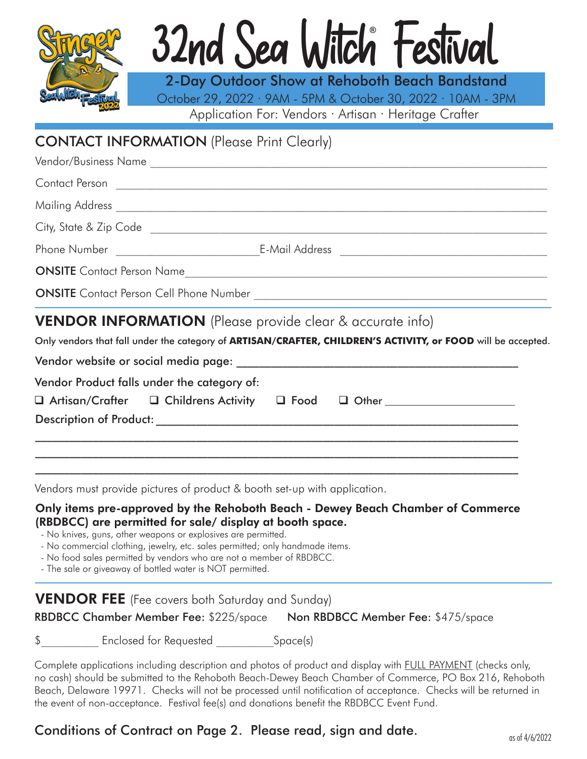

# **®** 32nd Sea Witch Festival

Application For: Vendors · Artisan · Heritage Crafter 2-Day Outdoor Show at Rehoboth Beach Bandstand October 29, 2022 · 9AM - 5PM & October 30, 2022 · 10AM - 3PM

## CONTACT INFORMATION (Please Print Clearly)

| <b>VENDOR INFORMATION</b> (Please provide clear & accurate info)<br>Only vendors that fall under the category of ARTISAN/CRAFTER, CHILDREN'S ACTIVITY, or FOOD will be accepted. |                                   |  |  |  |
|----------------------------------------------------------------------------------------------------------------------------------------------------------------------------------|-----------------------------------|--|--|--|
|                                                                                                                                                                                  |                                   |  |  |  |
|                                                                                                                                                                                  |                                   |  |  |  |
|                                                                                                                                                                                  | <b>ONSITE</b> Contact Person Name |  |  |  |
|                                                                                                                                                                                  |                                   |  |  |  |
|                                                                                                                                                                                  |                                   |  |  |  |
|                                                                                                                                                                                  |                                   |  |  |  |
|                                                                                                                                                                                  |                                   |  |  |  |
| Vendor/Business Name                                                                                                                                                             |                                   |  |  |  |

Vendor website or social media page: \_\_\_\_\_\_\_\_\_\_\_\_\_\_\_\_\_\_\_\_\_\_\_\_\_\_\_\_\_\_\_\_\_\_\_\_\_\_\_\_\_\_\_\_\_\_\_\_\_

Vendor Product falls under the category of:

|  |  | $\Box$ Artisan/Crafter $\Box$ Childrens Activity $\Box$ Food $\Box$ Other |  |  |
|--|--|---------------------------------------------------------------------------|--|--|
|--|--|---------------------------------------------------------------------------|--|--|

Description of Product: \_\_\_\_\_\_\_\_\_\_\_\_\_\_\_\_\_\_\_\_\_\_\_\_\_\_\_\_\_\_\_\_\_\_\_\_\_\_\_\_\_\_\_\_\_\_\_\_\_\_\_\_\_\_\_\_\_\_\_\_\_\_\_

Vendors must provide pictures of product & booth set-up with application.

#### Only items pre-approved by the Rehoboth Beach - Dewey Beach Chamber of Commerce (RBDBCC) are permitted for sale/ display at booth space.

 $\_$  , and the set of the set of the set of the set of the set of the set of the set of the set of the set of the set of the set of the set of the set of the set of the set of the set of the set of the set of the set of th  $\_$  , and the set of the set of the set of the set of the set of the set of the set of the set of the set of the set of the set of the set of the set of the set of the set of the set of the set of the set of the set of th  $\mathcal{L}_\mathcal{L} = \{ \mathcal{L}_\mathcal{L} = \{ \mathcal{L}_\mathcal{L} = \{ \mathcal{L}_\mathcal{L} = \{ \mathcal{L}_\mathcal{L} = \{ \mathcal{L}_\mathcal{L} = \{ \mathcal{L}_\mathcal{L} = \{ \mathcal{L}_\mathcal{L} = \{ \mathcal{L}_\mathcal{L} = \{ \mathcal{L}_\mathcal{L} = \{ \mathcal{L}_\mathcal{L} = \{ \mathcal{L}_\mathcal{L} = \{ \mathcal{L}_\mathcal{L} = \{ \mathcal{L}_\mathcal{L} = \{ \mathcal{L}_\mathcal{$ 

- No knives, guns, other weapons or explosives are permitted.

- No commercial clothing, jewelry, etc. sales permitted; only handmade items.
- No food sales permitted by vendors who are not a member of RBDBCC.

- The sale or giveaway of bottled water is NOT permitted.

## **VENDOR FEE** (Fee covers both Saturday and Sunday)

RBDBCC Chamber Member Fee: \$225/space Non RBDBCC Member Fee: \$475/space

 $\frac{1}{\sqrt{2\pi}}$  Enclosed for Requested  $\frac{1}{\sqrt{2\pi}}$  Space(s)

Complete applications including description and photos of product and display with FULL PAYMENT (checks only, no cash) should be submitted to the Rehoboth Beach-Dewey Beach Chamber of Commerce, PO Box 216, Rehoboth Beach, Delaware 19971. Checks will not be processed until notification of acceptance. Checks will be returned in the event of non-acceptance. Festival fee(s) and donations benefit the RBDBCC Event Fund.

## Conditions of Contract on Page 2. Please read, sign and date.  $\frac{1}{\cos\theta}$  as  $\frac{4}{6}/\frac{2022}{20}$